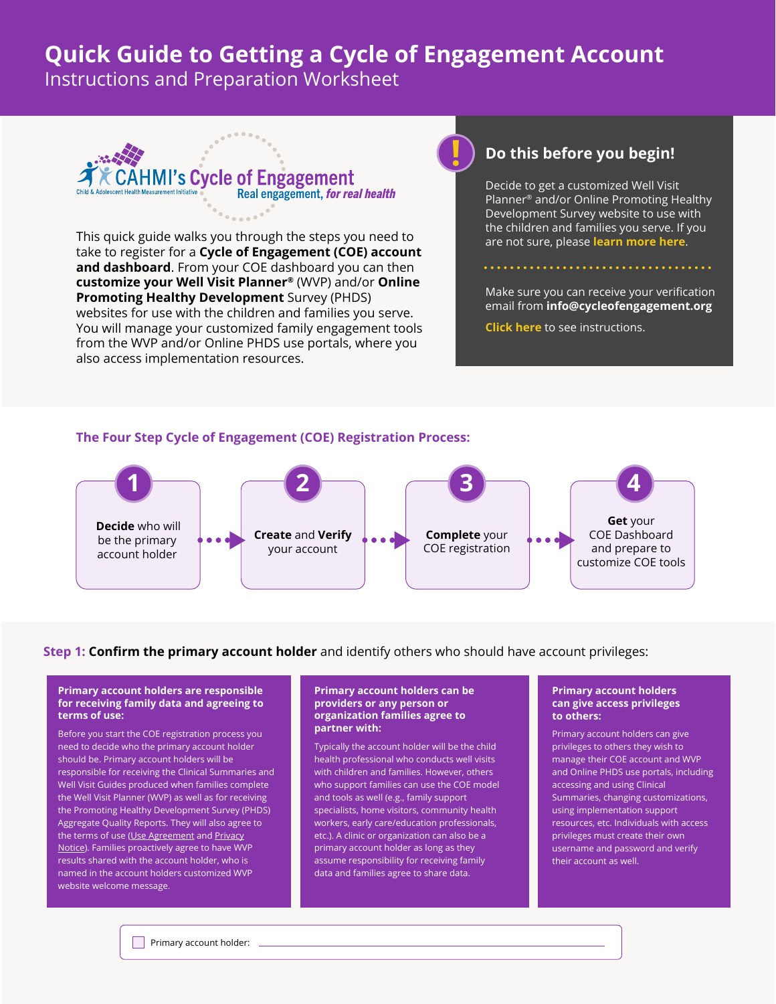# **Quick Guide to Getting a Cycle of Engagement Account**

Instructions and Preparation Worksheet



This quick guide walks you through the steps you need to take to register for a **Cycle of Engagement (COE) account and dashboard**. From your COE dashboard you can then **customize your Well Visit Planner®** (WVP) and/or **Online Promoting Healthy Development** Survey (PHDS) websites for use with the children and families you serve. You will manage your customized family engagement tools from the WVP and/or Online PHDS use portals, where you also access implementation resources.

## **Do this before you begin!**

Decide to get a customized Well Visit Planner® and/or Online Promoting Healthy Development Survey website to use with the children and families you serve. If you are not sure, please **[learn more here](https://implement.cycleofengagement.org/Learn.aspx)**.

Make sure you can receive your verification email from **info@cycleofengagement.org**

**[Click here](https://cahmi.org/docs/default-source/coe-documents/instructions_successfully-receive-email-to-verify-coe-account.pdf?sfvrsn=17882736_2)** to see instructions.

### **The Four Step Cycle of Engagement (COE) Registration Process:**



#### **Step 1: Confirm the primary account holder** and identify others who should have account privileges:

#### **Primary account holders are responsible for receiving family data and agreeing to terms of use:**

Before you start the COE registration process you need to decide who the primary account holder should be. Primary account holders will be responsible for receiving the Clinical Summaries and Well Visit Guides produced when families complete the Well Visit Planner (WVP) as well as for receiving the Promoting Healthy Development Survey (PHDS) Aggregate Quality Reports. They will also agree to the terms of use (Use Agreement and Privacy Notice). Families proactively agree to have WVP results shared with the account holder, who is named in the account holders customized WVP website welcome message.

#### **Primary account holders can be providers or any person or organization families agree to partner with:**

Typically the account holder will be the child health professional who conducts well visits with children and families. However, others who support families can use the COE model and tools as well (e.g., family support specialists, home visitors, community health workers, early care/education professionals, etc.). A clinic or organization can also be a primary account holder as long as they assume responsibility for receiving family data and families agree to share data.

#### **Primary account holders can give access privileges to others:**

Primary account holders can give privileges to others they wish to manage their COE account and WVP and Online PHDS use portals, including accessing and using Clinical Summaries, changing customizations, using implementation support resources, etc. Individuals with access privileges must create their own username and password and verify their account as well.

**Primary account holder:**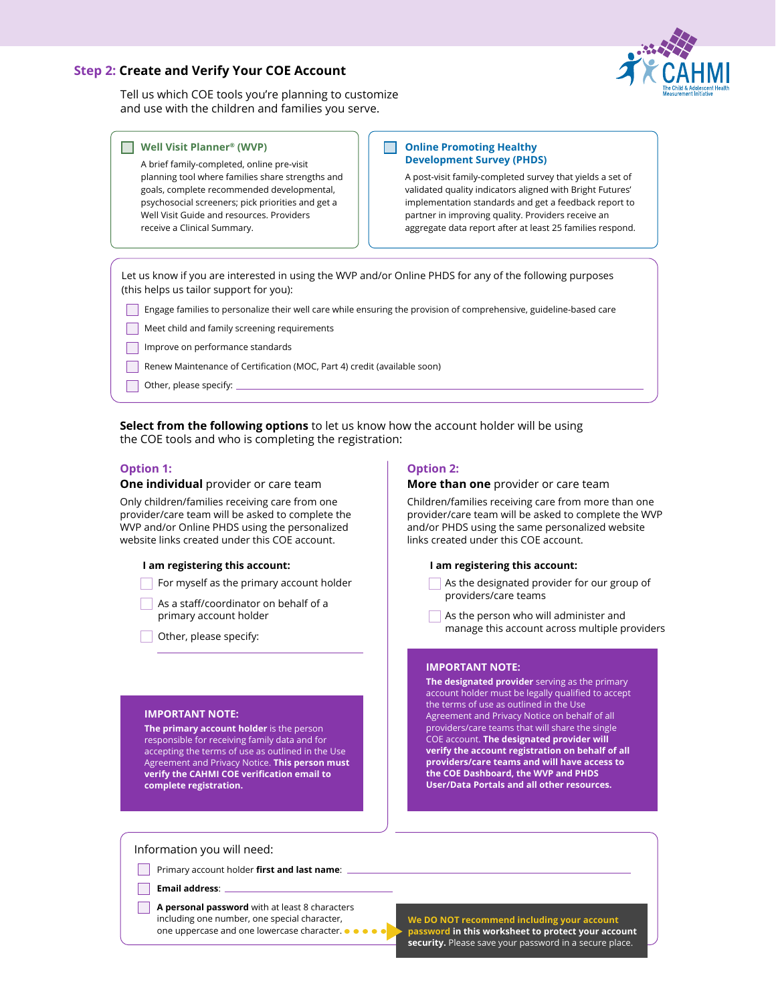#### **Step 2: Create and Verify Your COE Account**



Tell us which COE tools you're planning to customize and use with the children and families you serve.

#### П **Well Visit Planner® (WVP)**

A brief family-completed, online pre-visit planning tool where families share strengths and goals, complete recommended developmental, psychosocial screeners; pick priorities and get a Well Visit Guide and resources. Providers receive a Clinical Summary.

#### **Online Promoting Healthy Development Survey (PHDS)**

A post-visit family-completed survey that yields a set of validated quality indicators aligned with Bright Futures' implementation standards and get a feedback report to partner in improving quality. Providers receive an aggregate data report after at least 25 families respond.

Let us know if you are interested in using the WVP and/or Online PHDS for any of the following purposes (this helps us tailor support for you):

- Engage families to personalize their well care while ensuring the provision of comprehensive, guideline-based care
- Meet child and family screening requirements
- Improve on performance standards
- Renew Maintenance of Certification (MOC, Part 4) credit (available soon)
- Other, please specify:

**Select from the following options** to let us know how the account holder will be using the COE tools and who is completing the registration:

#### **Option 1:**

#### **One individual** provider or care team

Only children/families receiving care from one provider/care team will be asked to complete the WVP and/or Online PHDS using the personalized website links created under this COE account.

#### **I am registering this account:**

- $\Box$  For myself as the primary account holder
- As a staff/coordinator on behalf of a primary account holder
- Other, please specify:

#### **IMPORTANT NOTE:**

**The primary account holder** is the person responsible for receiving family data and for accepting the terms of use as outlined in the Use Agreement and Privacy Notice. **This person must verify the CAHMI COE verification email to complete registration.**

#### **Option 2:**

#### **More than one** provider or care team

Children/families receiving care from more than one provider/care team will be asked to complete the WVP and/or PHDS using the same personalized website links created under this COE account.

#### **I am registering this account:**

- As the designated provider for our group of providers/care teams
- As the person who will administer and manage this account across multiple providers

#### **IMPORTANT NOTE:**

**The designated provider** serving as the primary account holder must be legally qualified to accept the terms of use as outlined in the Use Agreement and Privacy Notice on behalf of all providers/care teams that will share the single COE account. **The designated provider will verify the account registration on behalf of all providers/care teams and will have access to the COE Dashboard, the WVP and PHDS User/Data Portals and all other resources.**

Information you will need:

Primary account holder **first and last name**:

**Email address**:

 $\Box$ 

**A personal password** with at least 8 characters including one number, one special character, one uppercase and one lowercase character.

**We DO NOT recommend including your account password in this worksheet to protect your account security.** Please save your password in a secure place.